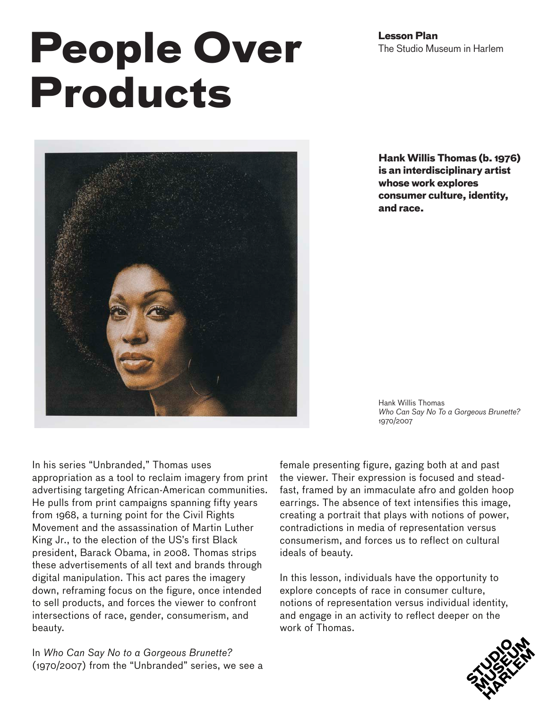**Lesson Plan** The Studio Museum in Harlem

# **People Over Products**



**Hank Willis Thomas (b. 1976) is an interdisciplinary artist whose work explores consumer culture, identity, and race.**

Hank Willis Thomas *Who Can Say No To a Gorgeous Brunette?*  1970/2007

In his series "Unbranded," Thomas uses appropriation as a tool to reclaim imagery from print advertising targeting African-American communities. He pulls from print campaigns spanning fifty years from 1968, a turning point for the Civil Rights Movement and the assassination of Martin Luther King Jr., to the election of the US's first Black president, Barack Obama, in 2008. Thomas strips these advertisements of all text and brands through digital manipulation. This act pares the imagery down, reframing focus on the figure, once intended to sell products, and forces the viewer to confront intersections of race, gender, consumerism, and beauty.

In *Who Can Say No to a Gorgeous Brunette?* (1970/2007) from the "Unbranded" series, we see a female presenting figure, gazing both at and past the viewer. Their expression is focused and steadfast, framed by an immaculate afro and golden hoop earrings. The absence of text intensifies this image, creating a portrait that plays with notions of power, contradictions in media of representation versus consumerism, and forces us to reflect on cultural ideals of beauty.

In this lesson, individuals have the opportunity to explore concepts of race in consumer culture, notions of representation versus individual identity, and engage in an activity to reflect deeper on the work of Thomas.

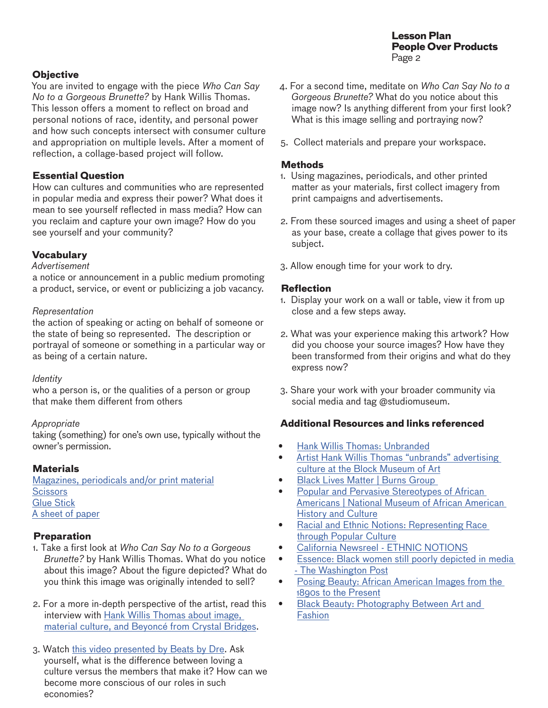**Lesson Plan People Over Products**  Page 2

# **Objective**

You are invited to engage with the piece *Who Can Say No to a Gorgeous Brunette?* by Hank Willis Thomas. This lesson offers a moment to reflect on broad and personal notions of race, identity, and personal power and how such concepts intersect with consumer culture and appropriation on multiple levels. After a moment of reflection, a collage-based project will follow.

# **Essential Question**

How can cultures and communities who are represented in popular media and express their power? What does it mean to see yourself reflected in mass media? How can you reclaim and capture your own image? How do you see yourself and your community?

## **Vocabulary**

# *Advertisement*

a notice or announcement in a public medium promoting a product, service, or event or publicizing a job vacancy.

#### *Representation*

the action of speaking or acting on behalf of someone or the state of being so represented. The description or portrayal of someone or something in a particular way or as being of a certain nature.

#### *Identity*

who a person is, or the qualities of a person or group that make them different from others

#### *Appropriate*

taking (something) for one's own use, typically without the owner's permission.

# **Materials**

Magazines, periodicals and/or print material **Scissors** Glue Stick A sheet of paper

#### **Preparation**

- 1. Take a first look at *Who Can Say No to a Gorgeous Brunette?* by Hank Willis Thomas. What do you notice about this image? About the figure depicted? What do you think this image was originally intended to sell?
- 2. For a more in-depth perspective of the artist, read this interview with [Hank Willis Thomas about image,](https://crystalbridges.org/blog/an-interview-with-hank-willis-thomas-part-i/)  [material culture, and Beyoncé from Crystal Bridges](https://crystalbridges.org/blog/an-interview-with-hank-willis-thomas-part-i/).
- 3. Watch [this video presented by Beats by Dre.](https://www.youtube.com/watch?v=h0rfCYy9jbI) Ask yourself, what is the difference between loving a culture versus the members that make it? How can we become more conscious of our roles in such economies?
- 4. For a second time, meditate on *Who Can Say No to a Gorgeous Brunette?* What do you notice about this image now? Is anything different from your first look? What is this image selling and portraying now?
- 5. Collect materials and prepare your workspace.

#### **Methods**

- 1. Using magazines, periodicals, and other printed matter as your materials, first collect imagery from print campaigns and advertisements.
- 2. From these sourced images and using a sheet of paper as your base, create a collage that gives power to its subject.
- 3. Allow enough time for your work to dry.

#### **Reflection**

- 1. Display your work on a wall or table, view it from up close and a few steps away.
- 2. What was your experience making this artwork? How did you choose your source images? How have they been transformed from their origins and what do they express now?
- 3. Share your work with your broader community via social media and tag @studiomuseum.

#### **Additional Resources and links referenced**

- [Hank Willis Thomas: Unbranded](https://www.blockmuseum.northwestern.edu/exhibitions/2018/hank-willis-thomas-unbranded.html)
- [Artist Hank Willis Thomas "unbrands" advertising](https://nublockmuseum.blog/2018/04/06/hank-willis-thomas-unbranded/)  [culture at the Block Museum of Art](https://nublockmuseum.blog/2018/04/06/hank-willis-thomas-unbranded/)
- [Black Lives Matter | Burns Group](https://www.burnsgroupnyc.com/blm)
- **Popular and Pervasive Stereotypes of African** [Americans | National Museum of African American](https://nmaahc.si.edu/blog-post/popular-and-pervasive-stereotypes-african-americans)  [History and Culture](https://nmaahc.si.edu/blog-post/popular-and-pervasive-stereotypes-african-americans)
- Racial and Ethnic Notions: Representing Race [through Popular Culture](https://www.youtube.com/watch?v=bAzFrjbdDM8&feature=youtu.be)
- [California Newsreel ETHNIC NOTIONS](http://newsreel.org/video/ETHNIC-NOTIONS)
- [Essence: Black women still poorly depicted in media](https://www.washingtonpost.com/blogs/she-the-people/wp/2013/10/10/essence-black-women-still-poorly-depicted-in-media/)  [- The Washington Post](https://www.washingtonpost.com/blogs/she-the-people/wp/2013/10/10/essence-black-women-still-poorly-depicted-in-media/)
- [Posing Beauty: African American Images from the](https://wwnorton.com/books/9780393066968)  [1890s to the Present](https://wwnorton.com/books/9780393066968)
- Black Beauty: Photography Between Art and [Fashion](https://www.nytimes.com/2019/09/05/arts/design/black-vanguard-photography-antwaun-sargent.html)